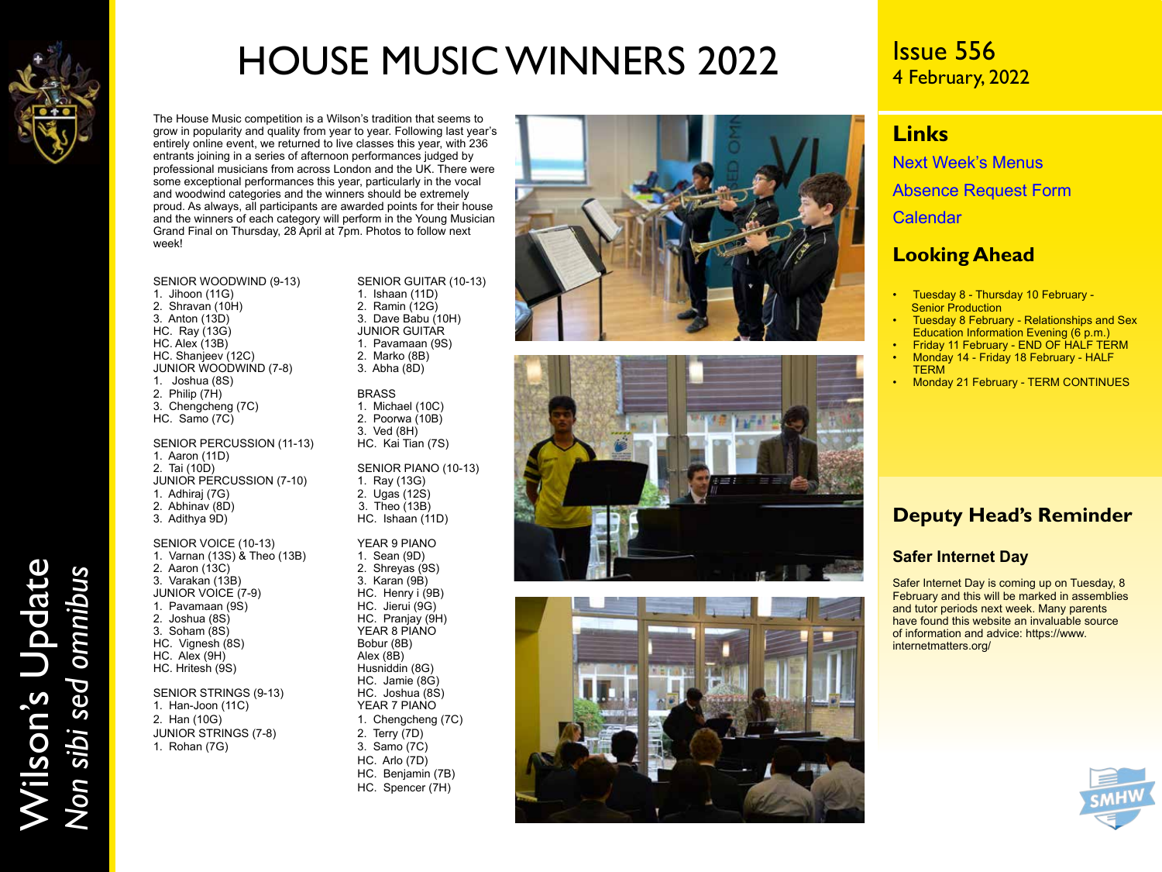

Wilson's Update

Wilson's Update<br>Non sibi sed omnibus

*Non sibi sed omnibus*

# HOUSE MUSIC WINNERS 2022

The House Music competition is a Wilson's tradition that seems to grow in popularity and quality from year to year. Following last year's entirely online event, we returned to live classes this year, with 236 entrants joining in a series of afternoon performances judged by professional musicians from across London and the UK. There were some exceptional performances this year, particularly in the vocal and woodwind categories and the winners should be extremely proud. As always, all participants are awarded points for their house and the winners of each category will perform in the Young Musician Grand Final on Thursday, 28 April at 7pm. Photos to follow next week!

- SENIOR WOODWIND (9-13) SENIOR GUITAR (10-13)<br>1. Jihoon (11G) 1. Ishaan (11D) 2. Shravan (10H)<br>3. Anton (13D) HC. Ray  $(13G)$ <br>HC. Alex  $(13B)$ HC. Shanjeev (12C) 2. Marko (8B)<br>JUNIOR WOODWIND (7-8) 3. Abha (8D) JUNIOR WOODWIND (7-8) 1. Joshua (8S) 2. Philip (7H)  $\overline{C}$  BRASS<br>3. Chengcheng (7C) 3. Michael (10C) 3. Chengcheng (7C) 1. Michael (10C)<br>HC. Samo (7C) 1. Poorwa (10B)  $HC.$  Samo  $(7C)$ .
- SENIOR PERCUSSION (11-13) 1. Aaron (11D) JUNIOR PERCUSSION (7-10) 1. Ray (13G)<br>1. Adhirai (7G) 2. Ugas (12S) 1. Adhiraj (7G)<br>2. Abhinav (8D) 2. Abhinav (8D) 3. Theo (13B)

SENIOR VOICE (10-13) YEAR 9 PIANO<br>1. Varnan (13S) & Theo (13B) 1. Sean (9D) 1. Varnan (13S) & Theo (13B)<br>2. Aaron (13C) 3. Varakan (13B) 3. Karan (9B)<br>JUNIOR VOICE (7-9) 3. HC. Henry i (9B) 1. Pavamaan (9S)<br>2. Joshua (8S) HC. Hritesh (9S) 1. Han-Joon (11C)<br>2. Han (10G) JUNIOR STRINGS (7-8) 2. Terry (7D)

1. Ishaan (11D)<br>2. Ramin (12G) 3. Dave Babu (10H)<br>JUNIOR GUITAR 1. Pavamaan (9S)<br>2. Marko (8B)

3. Ved (8H)<br>HC. Kai Tian (7S)

SENIOR PIANO (10-13)<br>1. Ray (13G) HC. Ishaan (11D)

2. Shreyas (9S)<br>3. Karan (9B) YEAR 8 PIANO<br>Bobur (8B) HC. Jamie (8G) 1. Chengcheng (7C) HC. Arlo (7D) HC. Benjamin (7B) HC. Spencer (7H)







## Issue 556 4 February, 2022

## **Links**

[Next Week's Menus](https://www.wilsons.school/resources/Menus.pdf) [Absence Request Form](http://www.wilsons.school/resources/Leave-of-Absence-Form.pdf)

**[Calendar](https://www.wilsons.school/calendar/)** 

### **Looking Ahead**

- Tuesday 8 Thursday 10 February **Senior Production**
- Tuesday 8 February Relationships and Sex Education Information Evening (6 p.m.)
- Friday 11 February END OF HALF TERM • Monday 14 - Friday 18 February - HALF **TERM**
- Monday 21 February TERM CONTINUES

## **Deputy Head's Reminder**

### **Safer Internet Day**

Safer Internet Day is coming up on Tuesday, 8 February and this will be marked in assemblies and tutor periods next week. Many parents have found this website an invaluable source of information and advice: https://www. internetmatters.org/



JUNIOR VOICE (7-9) HC. Henry i (9E<br>1. Pavamaan (9S) HC. Jierui (9G) 2. Joshua (8S) HC. Pranjay (9H) HC. Vignesh (8S) Bobur (8E)<br>HC. Alex (9H) Bobur (8B) HC. Alex (9H)  $\overrightarrow{AB}$  Alex (8B)  $\overrightarrow{AB}$  Alex (8B)  $\overrightarrow{AB}$  Husniddin (8G) SENIOR STRINGS (9-13) HC. Joshua (8S)<br>1. Han-Joon (11C) YEAR 7 PIANO

1. Rohan (7G) 3. Samo (7C)